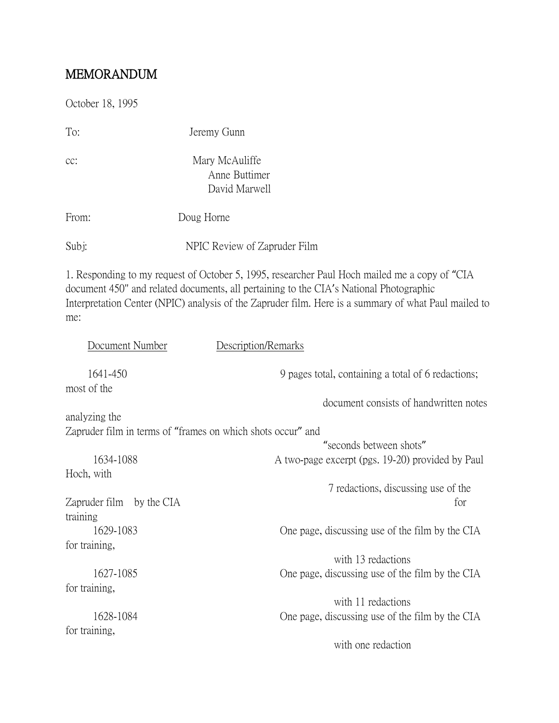## MEMORANDUM

October 18, 1995

| To:                                                                                                                                                                                                                                                                                                     | Jeremy Gunn                                      |
|---------------------------------------------------------------------------------------------------------------------------------------------------------------------------------------------------------------------------------------------------------------------------------------------------------|--------------------------------------------------|
| cc:                                                                                                                                                                                                                                                                                                     | Mary McAuliffe<br>Anne Buttimer<br>David Marwell |
| From:                                                                                                                                                                                                                                                                                                   | Doug Horne                                       |
| Subj:                                                                                                                                                                                                                                                                                                   | NPIC Review of Zapruder Film                     |
| 1. Responding to my request of October 5, 1995, researcher Paul Hoch mailed me a copy of "CIA"<br>document 450" and related documents, all pertaining to the CIA's National Photographic<br>Interpretation Center (NPIC) analysis of the Zapruder film. Here is a summary of what Paul mailed to<br>me: |                                                  |

| Document Number                                              | Description/Remarks                                                                                                                                                                               |
|--------------------------------------------------------------|---------------------------------------------------------------------------------------------------------------------------------------------------------------------------------------------------|
| 1641-450                                                     | 9 pages total, containing a total of 6 redactions;                                                                                                                                                |
| most of the                                                  |                                                                                                                                                                                                   |
|                                                              | document consists of handwritten notes                                                                                                                                                            |
| analyzing the                                                |                                                                                                                                                                                                   |
| Zapruder film in terms of "frames on which shots occur" and  |                                                                                                                                                                                                   |
|                                                              | "seconds between shots"                                                                                                                                                                           |
| 1634-1088                                                    | A two-page excerpt (pgs. 19-20) provided by Paul                                                                                                                                                  |
| Hoch, with                                                   |                                                                                                                                                                                                   |
|                                                              | 7 redactions, discussing use of the                                                                                                                                                               |
| Zapruder film<br>by the CIA                                  | for                                                                                                                                                                                               |
| training                                                     |                                                                                                                                                                                                   |
| 1629-1083                                                    |                                                                                                                                                                                                   |
|                                                              |                                                                                                                                                                                                   |
|                                                              | with 13 redactions                                                                                                                                                                                |
| 1627-1085                                                    |                                                                                                                                                                                                   |
|                                                              |                                                                                                                                                                                                   |
|                                                              |                                                                                                                                                                                                   |
|                                                              |                                                                                                                                                                                                   |
|                                                              |                                                                                                                                                                                                   |
|                                                              |                                                                                                                                                                                                   |
| for training,<br>for training,<br>1628-1084<br>for training, | One page, discussing use of the film by the CIA<br>One page, discussing use of the film by the CIA<br>with 11 redactions<br>One page, discussing use of the film by the CIA<br>with one redaction |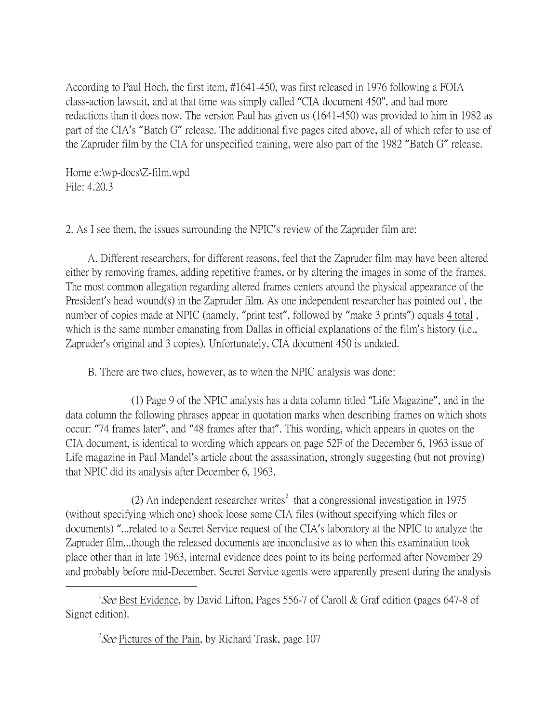According to Paul Hoch, the first item, #1641-450, was first released in 1976 following a FOIA class-action lawsuit, and at that time was simply called "CIA document 450", and had more redactions than it does now. The version Paul has given us (1641-450) was provided to him in 1982 as part of the CIA's "Batch G" release. The additional five pages cited above, all of which refer to use of the Zapruder film by the CIA for unspecified training, were also part of the 1982 "Batch G" release.

Horne e:\wp-docs\Z-film.wpd File: 4.20.3

2. As I see them, the issues surrounding the NPIC's review of the Zapruder film are:

 A. Different researchers, for different reasons, feel that the Zapruder film may have been altered either by removing frames, adding repetitive frames, or by altering the images in some of the frames. The most common allegation regarding altered frames centers around the physical appearance of the President's head wound(s) in the Zapruder film. As one independent researcher has pointed out<sup>[1](#page-1-0)</sup>, the number of copies made at NPIC (namely, "print test", followed by "make 3 prints") equals  $4$  total, which is the same number emanating from Dallas in official explanations of the film's history (i.e., Zapruder's original and 3 copies). Unfortunately, CIA document 450 is undated.

B. There are two clues, however, as to when the NPIC analysis was done:

 (1) Page 9 of the NPIC analysis has a data column titled "Life Magazine", and in the data column the following phrases appear in quotation marks when describing frames on which shots occur: "74 frames later", and "48 frames after that". This wording, which appears in quotes on the CIA document, is identical to wording which appears on page 52F of the December 6, 1963 issue of Life magazine in Paul Mandel's article about the assassination, strongly suggesting (but not proving) that NPIC did its analysis after December 6, 1963.

([2](#page-1-1)) An independent researcher writes<sup>2</sup> that a congressional investigation in 1975 (without specifying which one) shook loose some CIA files (without specifying which files or documents) "...related to a Secret Service request of the CIA's laboratory at the NPIC to analyze the Zapruder film...though the released documents are inconclusive as to when this examination took place other than in late 1963, internal evidence does point to its being performed after November 29 and probably before mid-December. Secret Service agents were apparently present during the analysis

<span id="page-1-1"></span><span id="page-1-0"></span> $\overline{\phantom{a}}$ <sup>1</sup> See Best Evidence, by David Lifton, Pages 556-7 of Caroll & Graf edition (pages 647-8 of Signet edition).

<sup>2</sup> See Pictures of the Pain, by Richard Trask, page 107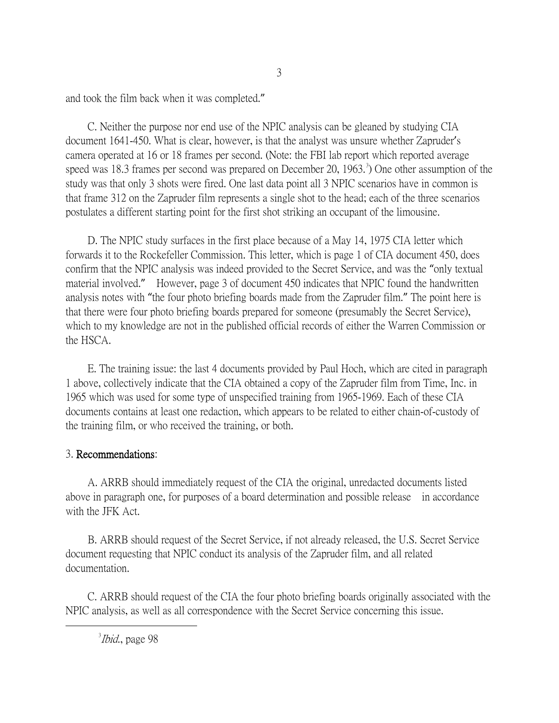and took the film back when it was completed."

 C. Neither the purpose nor end use of the NPIC analysis can be gleaned by studying CIA document 1641-450. What is clear, however, is that the analyst was unsure whether Zapruder's camera operated at 16 or 18 frames per second. (Note: the FBI lab report which reported average speed was 18.[3](#page-2-0) frames per second was prepared on December 20, 1963.<sup>3</sup>) One other assumption of the study was that only 3 shots were fired. One last data point all 3 NPIC scenarios have in common is that frame 312 on the Zapruder film represents a single shot to the head; each of the three scenarios postulates a different starting point for the first shot striking an occupant of the limousine.

 D. The NPIC study surfaces in the first place because of a May 14, 1975 CIA letter which forwards it to the Rockefeller Commission. This letter, which is page 1 of CIA document 450, does confirm that the NPIC analysis was indeed provided to the Secret Service, and was the "only textual material involved." However, page 3 of document 450 indicates that NPIC found the handwritten analysis notes with "the four photo briefing boards made from the Zapruder film." The point here is that there were four photo briefing boards prepared for someone (presumably the Secret Service), which to my knowledge are not in the published official records of either the Warren Commission or the HSCA.

 E. The training issue: the last 4 documents provided by Paul Hoch, which are cited in paragraph 1 above, collectively indicate that the CIA obtained a copy of the Zapruder film from Time, Inc. in 1965 which was used for some type of unspecified training from 1965-1969. Each of these CIA documents contains at least one redaction, which appears to be related to either chain-of-custody of the training film, or who received the training, or both.

## 3. Recommendations:

 A. ARRB should immediately request of the CIA the original, unredacted documents listed above in paragraph one, for purposes of a board determination and possible release in accordance with the JFK Act.

 B. ARRB should request of the Secret Service, if not already released, the U.S. Secret Service document requesting that NPIC conduct its analysis of the Zapruder film, and all related documentation.

 C. ARRB should request of the CIA the four photo briefing boards originally associated with the NPIC analysis, as well as all correspondence with the Secret Service concerning this issue.

<span id="page-2-0"></span> $\frac{1}{3}$  $3$ *Ibid.*, page 98